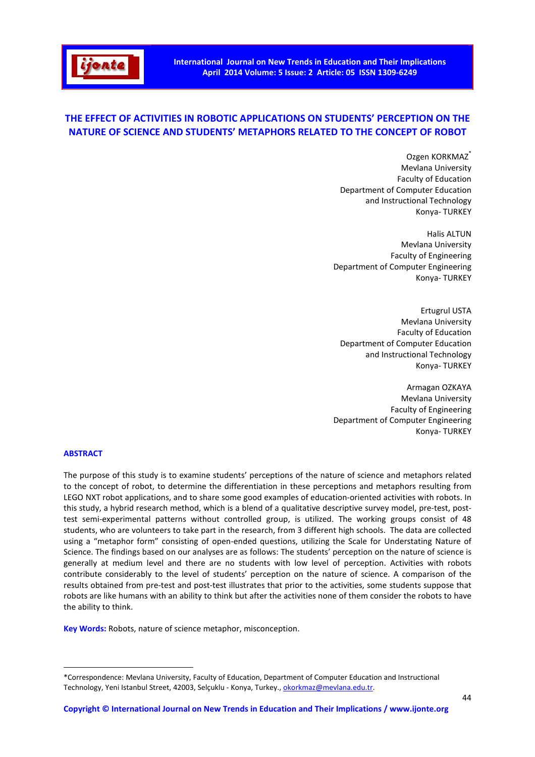# **THE EFFECT OF ACTIVITIES IN ROBOTIC APPLICATIONS ON STUDENTS' PERCEPTION ON THE NATURE OF SCIENCE AND STUDENTS' METAPHORS RELATED TO THE CONCEPT OF ROBOT**

Ozgen KORKMAZ<sup>\*</sup> Mevlana University Faculty of Education Department of Computer Education and Instructional Technology Konya- TURKEY

Halis ALTUN Mevlana University Faculty of Engineering Department of Computer Engineering Konya- TURKEY

Ertugrul USTA Mevlana University Faculty of Education Department of Computer Education and Instructional Technology Konya- TURKEY

Armagan OZKAYA Mevlana University Faculty of Engineering Department of Computer Engineering Konya- TURKEY

## **ABSTRACT**

 $\overline{a}$ 

The purpose of this study is to examine students' perceptions of the nature of science and metaphors related to the concept of robot, to determine the differentiation in these perceptions and metaphors resulting from LEGO NXT robot applications, and to share some good examples of education-oriented activities with robots. In this study, a hybrid research method, which is a blend of a qualitative descriptive survey model, pre-test, posttest semi-experimental patterns without controlled group, is utilized. The working groups consist of 48 students, who are volunteers to take part in the research, from 3 different high schools. The data are collected using a "metaphor form" consisting of open-ended questions, utilizing the Scale for Understating Nature of Science. The findings based on our analyses are as follows: The students' perception on the nature of science is generally at medium level and there are no students with low level of perception. Activities with robots contribute considerably to the level of students' perception on the nature of science. A comparison of the results obtained from pre-test and post-test illustrates that prior to the activities, some students suppose that robots are like humans with an ability to think but after the activities none of them consider the robots to have the ability to think.

**Key Words:** Robots, nature of science metaphor, misconception.

<sup>\*</sup>Correspondence: Mevlana University, Faculty of Education, Department of Computer Education and Instructional Technology, Yeni Istanbul Street, 42003, Selçuklu - Konya, Turkey., okorkmaz@mevlana.edu.tr.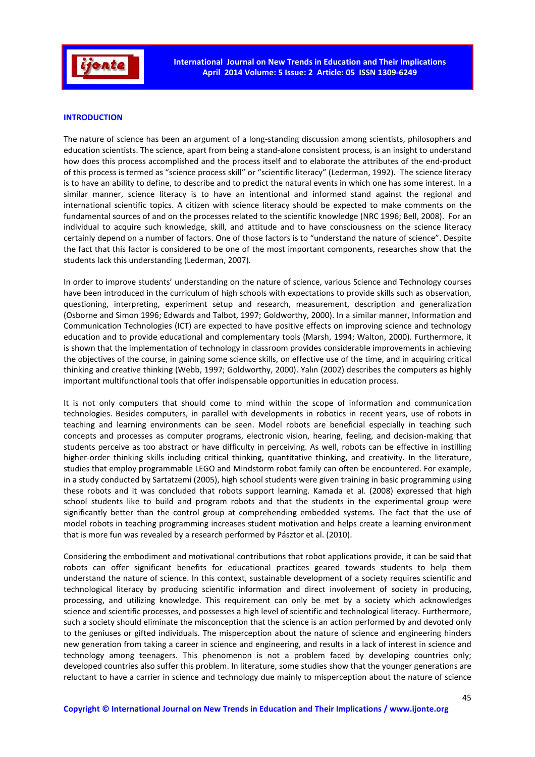

## **INTRODUCTION**

The nature of science has been an argument of a long-standing discussion among scientists, philosophers and education scientists. The science, apart from being a stand-alone consistent process, is an insight to understand how does this process accomplished and the process itself and to elaborate the attributes of the end-product of this process is termed as "science process skill" or "scientific literacy" (Lederman, 1992). The science literacy is to have an ability to define, to describe and to predict the natural events in which one has some interest. In a similar manner, science literacy is to have an intentional and informed stand against the regional and international scientific topics. A citizen with science literacy should be expected to make comments on the fundamental sources of and on the processes related to the scientific knowledge (NRC 1996; Bell, 2008). For an individual to acquire such knowledge, skill, and attitude and to have consciousness on the science literacy certainly depend on a number of factors. One of those factors is to "understand the nature of science". Despite the fact that this factor is considered to be one of the most important components, researches show that the students lack this understanding (Lederman, 2007).

In order to improve students' understanding on the nature of science, various Science and Technology courses have been introduced in the curriculum of high schools with expectations to provide skills such as observation, questioning, interpreting, experiment setup and research, measurement, description and generalization (Osborne and Simon 1996; Edwards and Talbot, 1997; Goldworthy, 2000). In a similar manner, Information and Communication Technologies (ICT) are expected to have positive effects on improving science and technology education and to provide educational and complementary tools (Marsh, 1994; Walton, 2000). Furthermore, it is shown that the implementation of technology in classroom provides considerable improvements in achieving the objectives of the course, in gaining some science skills, on effective use of the time, and in acquiring critical thinking and creative thinking (Webb, 1997; Goldworthy, 2000). Yalın (2002) describes the computers as highly important multifunctional tools that offer indispensable opportunities in education process.

It is not only computers that should come to mind within the scope of information and communication technologies. Besides computers, in parallel with developments in robotics in recent years, use of robots in teaching and learning environments can be seen. Model robots are beneficial especially in teaching such concepts and processes as computer programs, electronic vision, hearing, feeling, and decision-making that students perceive as too abstract or have difficulty in perceiving. As well, robots can be effective in instilling higher-order thinking skills including critical thinking, quantitative thinking, and creativity. In the literature, studies that employ programmable LEGO and Mindstorm robot family can often be encountered. For example, in a study conducted by Sartatzemi (2005), high school students were given training in basic programming using these robots and it was concluded that robots support learning. Kamada et al. (2008) expressed that high school students like to build and program robots and that the students in the experimental group were significantly better than the control group at comprehending embedded systems. The fact that the use of model robots in teaching programming increases student motivation and helps create a learning environment that is more fun was revealed by a research performed by Pásztor et al. (2010).

Considering the embodiment and motivational contributions that robot applications provide, it can be said that robots can offer significant benefits for educational practices geared towards students to help them understand the nature of science. In this context, sustainable development of a society requires scientific and technological literacy by producing scientific information and direct involvement of society in producing, processing, and utilizing knowledge. This requirement can only be met by a society which acknowledges science and scientific processes, and possesses a high level of scientific and technological literacy. Furthermore, such a society should eliminate the misconception that the science is an action performed by and devoted only to the geniuses or gifted individuals. The misperception about the nature of science and engineering hinders new generation from taking a career in science and engineering, and results in a lack of interest in science and technology among teenagers. This phenomenon is not a problem faced by developing countries only; developed countries also suffer this problem. In literature, some studies show that the younger generations are reluctant to have a carrier in science and technology due mainly to misperception about the nature of science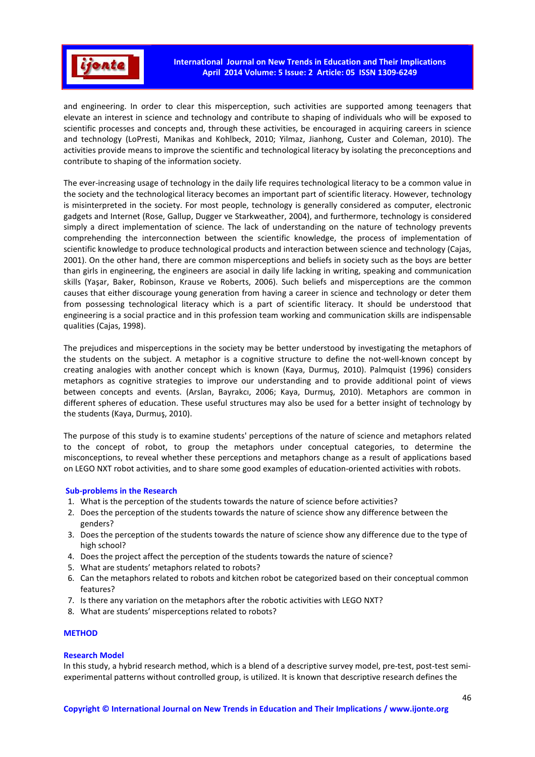

and engineering. In order to clear this misperception, such activities are supported among teenagers that elevate an interest in science and technology and contribute to shaping of individuals who will be exposed to scientific processes and concepts and, through these activities, be encouraged in acquiring careers in science and technology (LoPresti, Manikas and Kohlbeck, 2010; Yilmaz, Jianhong, Custer and Coleman, 2010). The activities provide means to improve the scientific and technological literacy by isolating the preconceptions and contribute to shaping of the information society.

The ever-increasing usage of technology in the daily life requires technological literacy to be a common value in the society and the technological literacy becomes an important part of scientific literacy. However, technology is misinterpreted in the society. For most people, technology is generally considered as computer, electronic gadgets and Internet (Rose, Gallup, Dugger ve Starkweather, 2004), and furthermore, technology is considered simply a direct implementation of science. The lack of understanding on the nature of technology prevents comprehending the interconnection between the scientific knowledge, the process of implementation of scientific knowledge to produce technological products and interaction between science and technology (Cajas, 2001). On the other hand, there are common misperceptions and beliefs in society such as the boys are better than girls in engineering, the engineers are asocial in daily life lacking in writing, speaking and communication skills (Yaşar, Baker, Robinson, Krause ve Roberts, 2006). Such beliefs and misperceptions are the common causes that either discourage young generation from having a career in science and technology or deter them from possessing technological literacy which is a part of scientific literacy. It should be understood that engineering is a social practice and in this profession team working and communication skills are indispensable qualities (Cajas, 1998).

The prejudices and misperceptions in the society may be better understood by investigating the metaphors of the students on the subject. A metaphor is a cognitive structure to define the not-well-known concept by creating analogies with another concept which is known (Kaya, Durmuş, 2010). Palmquist (1996) considers metaphors as cognitive strategies to improve our understanding and to provide additional point of views between concepts and events. (Arslan, Bayrakcı, 2006; Kaya, Durmuş, 2010). Metaphors are common in different spheres of education. These useful structures may also be used for a better insight of technology by the students (Kaya, Durmuş, 2010).

The purpose of this study is to examine students' perceptions of the nature of science and metaphors related to the concept of robot, to group the metaphors under conceptual categories, to determine the misconceptions, to reveal whether these perceptions and metaphors change as a result of applications based on LEGO NXT robot activities, and to share some good examples of education-oriented activities with robots.

## **Sub-problems in the Research**

- 1. What is the perception of the students towards the nature of science before activities?
- 2. Does the perception of the students towards the nature of science show any difference between the genders?
- 3. Does the perception of the students towards the nature of science show any difference due to the type of high school?
- 4. Does the project affect the perception of the students towards the nature of science?
- 5. What are students' metaphors related to robots?
- 6. Can the metaphors related to robots and kitchen robot be categorized based on their conceptual common features?
- 7. Is there any variation on the metaphors after the robotic activities with LEGO NXT?
- 8. What are students' misperceptions related to robots?

# **METHOD**

#### **Research Model**

In this study, a hybrid research method, which is a blend of a descriptive survey model, pre-test, post-test semiexperimental patterns without controlled group, is utilized. It is known that descriptive research defines the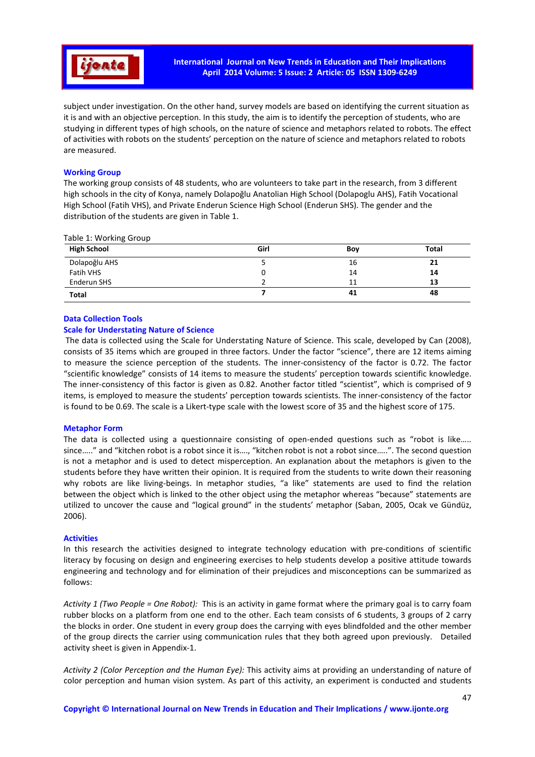

subject under investigation. On the other hand, survey models are based on identifying the current situation as it is and with an objective perception. In this study, the aim is to identify the perception of students, who are studying in different types of high schools, on the nature of science and metaphors related to robots. The effect of activities with robots on the students' perception on the nature of science and metaphors related to robots are measured.

# **Working Group**

The working group consists of 48 students, who are volunteers to take part in the research, from 3 different high schools in the city of Konya, namely Dolapoğlu Anatolian High School (Dolapoglu AHS), Fatih Vocational High School (Fatih VHS), and Private Enderun Science High School (Enderun SHS). The gender and the distribution of the students are given in Table 1.

#### Table 1: Working Group

| <b>High School</b> | Girl | Boy | <b>Total</b> |
|--------------------|------|-----|--------------|
| Dolapoğlu AHS      |      | 16  | 21           |
| Fatih VHS          |      | 14  | 14           |
| Enderun SHS        |      | 11  | 13           |
| <b>Total</b>       |      | -41 | 48           |

## **Data Collection Tools**

# **Scale for Understating Nature of Science**

 The data is collected using the Scale for Understating Nature of Science. This scale, developed by Can (2008), consists of 35 items which are grouped in three factors. Under the factor "science", there are 12 items aiming to measure the science perception of the students. The inner-consistency of the factor is 0.72. The factor "scientific knowledge" consists of 14 items to measure the students' perception towards scientific knowledge. The inner-consistency of this factor is given as 0.82. Another factor titled "scientist", which is comprised of 9 items, is employed to measure the students' perception towards scientists. The inner-consistency of the factor is found to be 0.69. The scale is a Likert-type scale with the lowest score of 35 and the highest score of 175.

## **Metaphor Form**

The data is collected using a questionnaire consisting of open-ended questions such as "robot is like….. since….." and "kitchen robot is a robot since it is…., "kitchen robot is not a robot since…..". The second question is not a metaphor and is used to detect misperception. An explanation about the metaphors is given to the students before they have written their opinion. It is required from the students to write down their reasoning why robots are like living-beings. In metaphor studies, "a like" statements are used to find the relation between the object which is linked to the other object using the metaphor whereas "because" statements are utilized to uncover the cause and "logical ground" in the students' metaphor (Saban, 2005, Ocak ve Gündüz, 2006).

## **Activities**

In this research the activities designed to integrate technology education with pre-conditions of scientific literacy by focusing on design and engineering exercises to help students develop a positive attitude towards engineering and technology and for elimination of their prejudices and misconceptions can be summarized as follows:

*Activity 1 (Two People = One Robot):* This is an activity in game format where the primary goal is to carry foam rubber blocks on a platform from one end to the other. Each team consists of 6 students, 3 groups of 2 carry the blocks in order. One student in every group does the carrying with eyes blindfolded and the other member of the group directs the carrier using communication rules that they both agreed upon previously. Detailed activity sheet is given in Appendix-1.

*Activity 2 (Color Perception and the Human Eye):* This activity aims at providing an understanding of nature of color perception and human vision system. As part of this activity, an experiment is conducted and students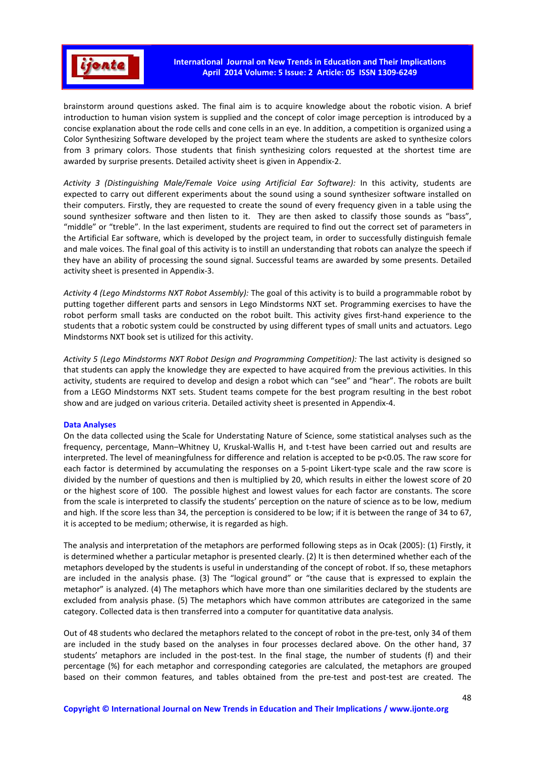

brainstorm around questions asked. The final aim is to acquire knowledge about the robotic vision. A brief introduction to human vision system is supplied and the concept of color image perception is introduced by a concise explanation about the rode cells and cone cells in an eye. In addition, a competition is organized using a Color Synthesizing Software developed by the project team where the students are asked to synthesize colors from 3 primary colors. Those students that finish synthesizing colors requested at the shortest time are awarded by surprise presents. Detailed activity sheet is given in Appendix-2.

*Activity 3 (Distinguishing Male/Female Voice using Artificial Ear Software):* In this activity, students are expected to carry out different experiments about the sound using a sound synthesizer software installed on their computers. Firstly, they are requested to create the sound of every frequency given in a table using the sound synthesizer software and then listen to it. They are then asked to classify those sounds as "bass", "middle" or "treble". In the last experiment, students are required to find out the correct set of parameters in the Artificial Ear software, which is developed by the project team, in order to successfully distinguish female and male voices. The final goal of this activity is to instill an understanding that robots can analyze the speech if they have an ability of processing the sound signal. Successful teams are awarded by some presents. Detailed activity sheet is presented in Appendix-3.

*Activity 4 (Lego Mindstorms NXT Robot Assembly):* The goal of this activity is to build a programmable robot by putting together different parts and sensors in Lego Mindstorms NXT set. Programming exercises to have the robot perform small tasks are conducted on the robot built. This activity gives first-hand experience to the students that a robotic system could be constructed by using different types of small units and actuators. Lego Mindstorms NXT book set is utilized for this activity.

*Activity 5 (Lego Mindstorms NXT Robot Design and Programming Competition):* The last activity is designed so that students can apply the knowledge they are expected to have acquired from the previous activities. In this activity, students are required to develop and design a robot which can "see" and "hear". The robots are built from a LEGO Mindstorms NXT sets. Student teams compete for the best program resulting in the best robot show and are judged on various criteria. Detailed activity sheet is presented in Appendix-4.

## **Data Analyses**

On the data collected using the Scale for Understating Nature of Science, some statistical analyses such as the frequency, percentage, Mann–Whitney U, Kruskal-Wallis H, and t-test have been carried out and results are interpreted. The level of meaningfulness for difference and relation is accepted to be p<0.05. The raw score for each factor is determined by accumulating the responses on a 5-point Likert-type scale and the raw score is divided by the number of questions and then is multiplied by 20, which results in either the lowest score of 20 or the highest score of 100. The possible highest and lowest values for each factor are constants. The score from the scale is interpreted to classify the students' perception on the nature of science as to be low, medium and high. If the score less than 34, the perception is considered to be low; if it is between the range of 34 to 67, it is accepted to be medium; otherwise, it is regarded as high.

The analysis and interpretation of the metaphors are performed following steps as in Ocak (2005): (1) Firstly, it is determined whether a particular metaphor is presented clearly. (2) It is then determined whether each of the metaphors developed by the students is useful in understanding of the concept of robot. If so, these metaphors are included in the analysis phase. (3) The "logical ground" or "the cause that is expressed to explain the metaphor" is analyzed. (4) The metaphors which have more than one similarities declared by the students are excluded from analysis phase. (5) The metaphors which have common attributes are categorized in the same category. Collected data is then transferred into a computer for quantitative data analysis.

Out of 48 students who declared the metaphors related to the concept of robot in the pre-test, only 34 of them are included in the study based on the analyses in four processes declared above. On the other hand, 37 students' metaphors are included in the post-test. In the final stage, the number of students (f) and their percentage (%) for each metaphor and corresponding categories are calculated, the metaphors are grouped based on their common features, and tables obtained from the pre-test and post-test are created. The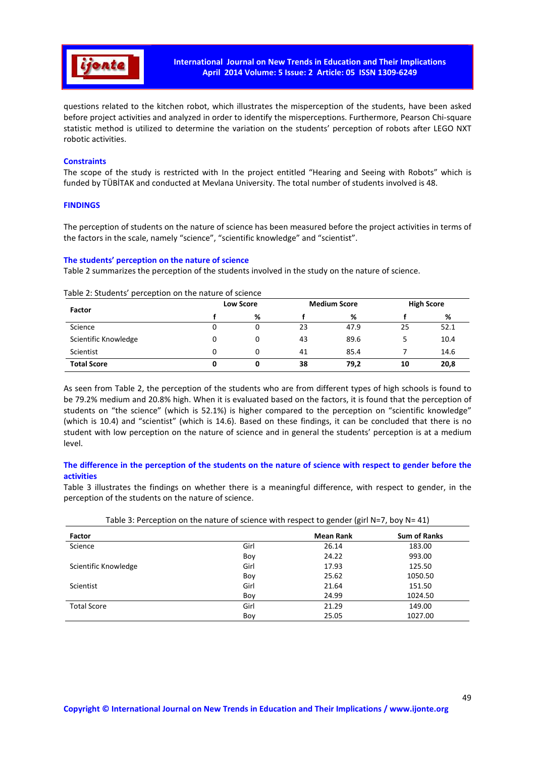

questions related to the kitchen robot, which illustrates the misperception of the students, have been asked before project activities and analyzed in order to identify the misperceptions. Furthermore, Pearson Chi-square statistic method is utilized to determine the variation on the students' perception of robots after LEGO NXT robotic activities.

## **Constraints**

The scope of the study is restricted with In the project entitled "Hearing and Seeing with Robots" which is funded by TÜBİTAK and conducted at Mevlana University. The total number of students involved is 48.

## **FINDINGS**

The perception of students on the nature of science has been measured before the project activities in terms of the factors in the scale, namely "science", "scientific knowledge" and "scientist".

# **The students' perception on the nature of science**

Table 2 summarizes the perception of the students involved in the study on the nature of science.

| <b>Factor</b>        |   | <b>Low Score</b> |    | <b>Medium Score</b> |    | <b>High Score</b> |  |
|----------------------|---|------------------|----|---------------------|----|-------------------|--|
|                      |   | ℅                |    | %                   |    | %                 |  |
| Science              | 0 |                  | 23 | 47.9                | 25 | 52.1              |  |
| Scientific Knowledge | 0 | 0                | 43 | 89.6                |    | 10.4              |  |
| Scientist            | 0 | 0                | 41 | 85.4                |    | 14.6              |  |
| <b>Total Score</b>   |   |                  | 38 | 79,2                | 10 | 20,8              |  |

Table 2: Students' perception on the nature of science

As seen from Table 2, the perception of the students who are from different types of high schools is found to be 79.2% medium and 20.8% high. When it is evaluated based on the factors, it is found that the perception of students on "the science" (which is 52.1%) is higher compared to the perception on "scientific knowledge" (which is 10.4) and "scientist" (which is 14.6). Based on these findings, it can be concluded that there is no student with low perception on the nature of science and in general the students' perception is at a medium level.

# **The difference in the perception of the students on the nature of science with respect to gender before the activities**

Table 3 illustrates the findings on whether there is a meaningful difference, with respect to gender, in the perception of the students on the nature of science.

| Factor               |      | <b>Mean Rank</b> | <b>Sum of Ranks</b> |
|----------------------|------|------------------|---------------------|
| Science              | Girl | 26.14            | 183.00              |
|                      | Boy  | 24.22            | 993.00              |
| Scientific Knowledge | Girl | 17.93            | 125.50              |
|                      | Boy  | 25.62            | 1050.50             |
| Scientist            | Girl | 21.64            | 151.50              |
|                      | Boy  | 24.99            | 1024.50             |
| <b>Total Score</b>   | Girl | 21.29            | 149.00              |
|                      | Boy  | 25.05            | 1027.00             |

| Table 3: Perception on the nature of science with respect to gender (girl N=7, boy N= 41) |  |  |  |  |
|-------------------------------------------------------------------------------------------|--|--|--|--|
|-------------------------------------------------------------------------------------------|--|--|--|--|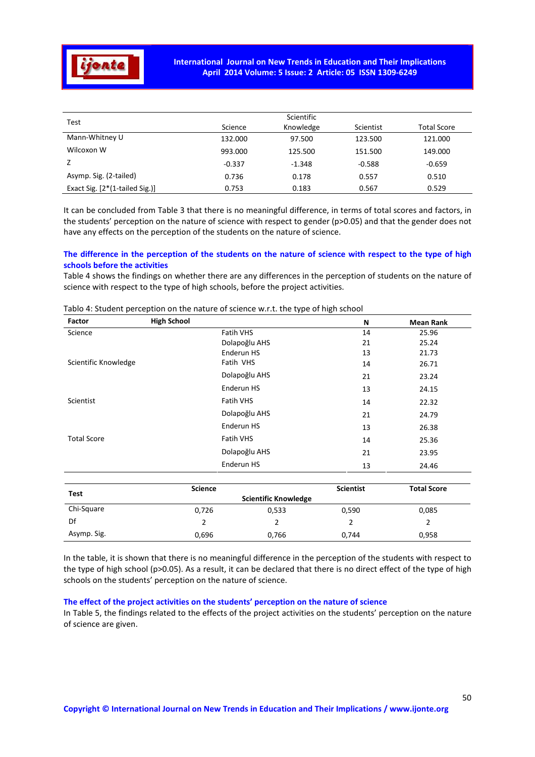

| Test                           |          |           |           |                    |
|--------------------------------|----------|-----------|-----------|--------------------|
|                                | Science  | Knowledge | Scientist | <b>Total Score</b> |
| Mann-Whitney U                 | 132.000  | 97.500    | 123.500   | 121.000            |
| Wilcoxon W                     | 993.000  | 125.500   | 151.500   | 149.000            |
|                                | $-0.337$ | $-1.348$  | $-0.588$  | $-0.659$           |
| Asymp. Sig. (2-tailed)         | 0.736    | 0.178     | 0.557     | 0.510              |
| Exact Sig. [2*(1-tailed Sig.)] | 0.753    | 0.183     | 0.567     | 0.529              |

It can be concluded from Table 3 that there is no meaningful difference, in terms of total scores and factors, in the students' perception on the nature of science with respect to gender (p>0.05) and that the gender does not have any effects on the perception of the students on the nature of science.

# **The difference in the perception of the students on the nature of science with respect to the type of high schools before the activities**

Table 4 shows the findings on whether there are any differences in the perception of students on the nature of science with respect to the type of high schools, before the project activities.

| Factor               | <b>High School</b> |                  | N                | <b>Mean Rank</b>   |
|----------------------|--------------------|------------------|------------------|--------------------|
| Science              |                    | Fatih VHS        | 14               | 25.96              |
|                      |                    | Dolapoğlu AHS    | 21               | 25.24              |
|                      |                    | Enderun HS       | 13               | 21.73              |
| Scientific Knowledge |                    | Fatih VHS        | 14               | 26.71              |
|                      |                    | Dolapoğlu AHS    | 21               | 23.24              |
|                      |                    | Enderun HS       | 13               | 24.15              |
| Scientist            |                    | Fatih VHS        | 14               | 22.32              |
|                      |                    | Dolapoğlu AHS    | 21               | 24.79              |
|                      |                    | Enderun HS       | 13               | 26.38              |
| <b>Total Score</b>   |                    | <b>Fatih VHS</b> | 14<br>25.36      |                    |
|                      |                    | Dolapoğlu AHS    | 21               | 23.95              |
|                      |                    | Enderun HS       | 13               | 24.46              |
| .                    | <b>Science</b>     |                  | <b>Scientist</b> | <b>Total Score</b> |

Tablo 4: Student perception on the nature of science w.r.t. the type of high school

|             | <b>Science</b> |                             | <b>Scientist</b> | <b>Total Score</b> |
|-------------|----------------|-----------------------------|------------------|--------------------|
| Test        |                | <b>Scientific Knowledge</b> |                  |                    |
| Chi-Square  | 0,726          | 0,533                       | 0,590            | 0,085              |
| Df          |                |                             |                  |                    |
| Asymp. Sig. | 0,696          | 0,766                       | 0.744            | 0,958              |

In the table, it is shown that there is no meaningful difference in the perception of the students with respect to the type of high school (p>0.05). As a result, it can be declared that there is no direct effect of the type of high schools on the students' perception on the nature of science.

# **The effect of the project activities on the students' perception on the nature of science**

In Table 5, the findings related to the effects of the project activities on the students' perception on the nature of science are given.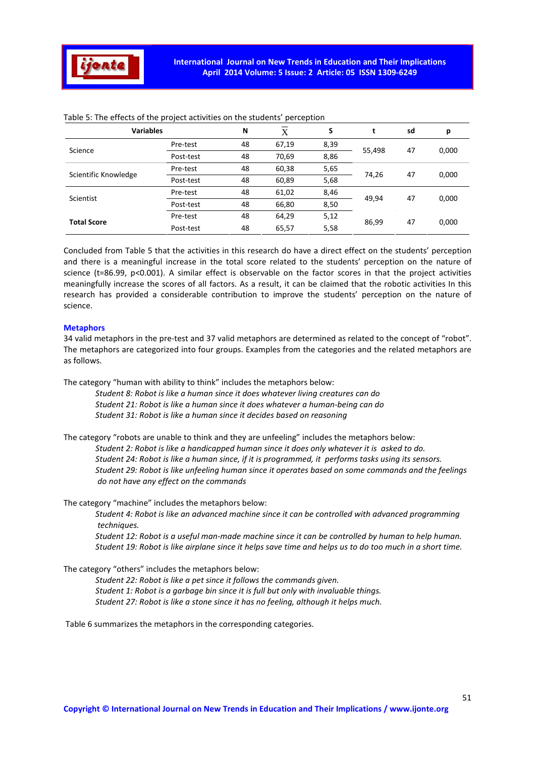

| <b>Variables</b>     |           | N  | X     | S    |        | sd | р     |
|----------------------|-----------|----|-------|------|--------|----|-------|
| Science              | Pre-test  | 48 | 67,19 | 8,39 |        |    | 0,000 |
|                      | Post-test | 48 | 70,69 | 8,86 | 55,498 | 47 |       |
| Scientific Knowledge | Pre-test  | 48 | 60,38 | 5,65 | 74,26  | 47 | 0,000 |
|                      | Post-test | 48 | 60,89 | 5,68 |        |    |       |
| Scientist            | Pre-test  | 48 | 61,02 | 8,46 | 49,94  | 47 | 0,000 |
|                      | Post-test | 48 | 66,80 | 8,50 |        |    |       |
| <b>Total Score</b>   | Pre-test  | 48 | 64,29 | 5,12 | 86,99  | 47 | 0,000 |
|                      | Post-test | 48 | 65,57 | 5,58 |        |    |       |

Table 5: The effects of the project activities on the students' perception

Concluded from Table 5 that the activities in this research do have a direct effect on the students' perception and there is a meaningful increase in the total score related to the students' perception on the nature of science (t=86.99, p<0.001). A similar effect is observable on the factor scores in that the project activities meaningfully increase the scores of all factors. As a result, it can be claimed that the robotic activities In this research has provided a considerable contribution to improve the students' perception on the nature of science.

## **Metaphors**

34 valid metaphors in the pre-test and 37 valid metaphors are determined as related to the concept of "robot". The metaphors are categorized into four groups. Examples from the categories and the related metaphors are as follows.

The category "human with ability to think" includes the metaphors below:

 *Student 8: Robot is like a human since it does whatever living creatures can do Student 21: Robot is like a human since it does whatever a human-being can do Student 31: Robot is like a human since it decides based on reasoning* 

The category "robots are unable to think and they are unfeeling" includes the metaphors below:  *Student 2: Robot is like a handicapped human since it does only whatever it is asked to do. Student 24: Robot is like a human since, if it is programmed, it performs tasks using its sensors. Student 29: Robot is like unfeeling human since it operates based on some commands and the feelings do not have any effect on the commands* 

The category "machine" includes the metaphors below:

 *Student 4: Robot is like an advanced machine since it can be controlled with advanced programming techniques.* 

 *Student 12: Robot is a useful man-made machine since it can be controlled by human to help human. Student 19: Robot is like airplane since it helps save time and helps us to do too much in a short time.* 

The category "others" includes the metaphors below:

 *Student 22: Robot is like a pet since it follows the commands given. Student 1: Robot is a garbage bin since it is full but only with invaluable things. Student 27: Robot is like a stone since it has no feeling, although it helps much.* 

Table 6 summarizes the metaphors in the corresponding categories.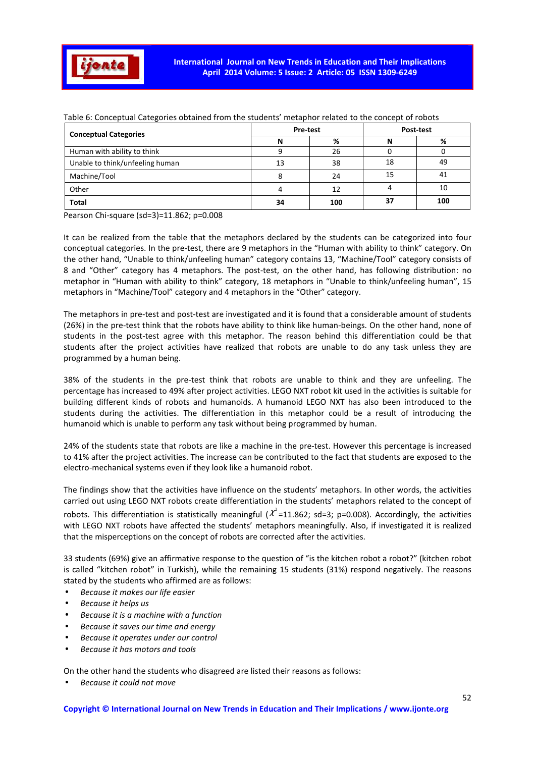

| <b>Conceptual Categories</b>    | Pre-test |     | Post-test |     |  |
|---------------------------------|----------|-----|-----------|-----|--|
|                                 |          | %   | N         | %   |  |
| Human with ability to think     |          | 26  |           |     |  |
| Unable to think/unfeeling human | 13       | 38  | 18        | 49  |  |
| Machine/Tool                    |          | 24  | 15        | 41  |  |
| Other                           |          | 12  |           | 10  |  |
| <b>Total</b>                    | 34       | 100 | 37        | 100 |  |

Table 6: Conceptual Categories obtained from the students' metaphor related to the concept of robots

Pearson Chi-square (sd=3)=11.862; p=0.008

It can be realized from the table that the metaphors declared by the students can be categorized into four conceptual categories. In the pre-test, there are 9 metaphors in the "Human with ability to think" category. On the other hand, "Unable to think/unfeeling human" category contains 13, "Machine/Tool" category consists of 8 and "Other" category has 4 metaphors. The post-test, on the other hand, has following distribution: no metaphor in "Human with ability to think" category, 18 metaphors in "Unable to think/unfeeling human", 15 metaphors in "Machine/Tool" category and 4 metaphors in the "Other" category.

The metaphors in pre-test and post-test are investigated and it is found that a considerable amount of students (26%) in the pre-test think that the robots have ability to think like human-beings. On the other hand, none of students in the post-test agree with this metaphor. The reason behind this differentiation could be that students after the project activities have realized that robots are unable to do any task unless they are programmed by a human being.

38% of the students in the pre-test think that robots are unable to think and they are unfeeling. The percentage has increased to 49% after project activities. LEGO NXT robot kit used in the activities is suitable for building different kinds of robots and humanoids. A humanoid LEGO NXT has also been introduced to the students during the activities. The differentiation in this metaphor could be a result of introducing the humanoid which is unable to perform any task without being programmed by human.

24% of the students state that robots are like a machine in the pre-test. However this percentage is increased to 41% after the project activities. The increase can be contributed to the fact that students are exposed to the electro-mechanical systems even if they look like a humanoid robot.

The findings show that the activities have influence on the students' metaphors. In other words, the activities carried out using LEGO NXT robots create differentiation in the students' metaphors related to the concept of robots. This differentiation is statistically meaningful ( $\chi^2$ =11.862; sd=3; p=0.008). Accordingly, the activities with LEGO NXT robots have affected the students' metaphors meaningfully. Also, if investigated it is realized that the misperceptions on the concept of robots are corrected after the activities.

33 students (69%) give an affirmative response to the question of "is the kitchen robot a robot?" (kitchen robot is called "kitchen robot" in Turkish), while the remaining 15 students (31%) respond negatively. The reasons stated by the students who affirmed are as follows:

- *Because it makes our life easier*
- *Because it helps us*
- *Because it is a machine with a function*
- *Because it saves our time and energy*
- *Because it operates under our control*
- *Because it has motors and tools*

On the other hand the students who disagreed are listed their reasons as follows:

• *Because it could not move*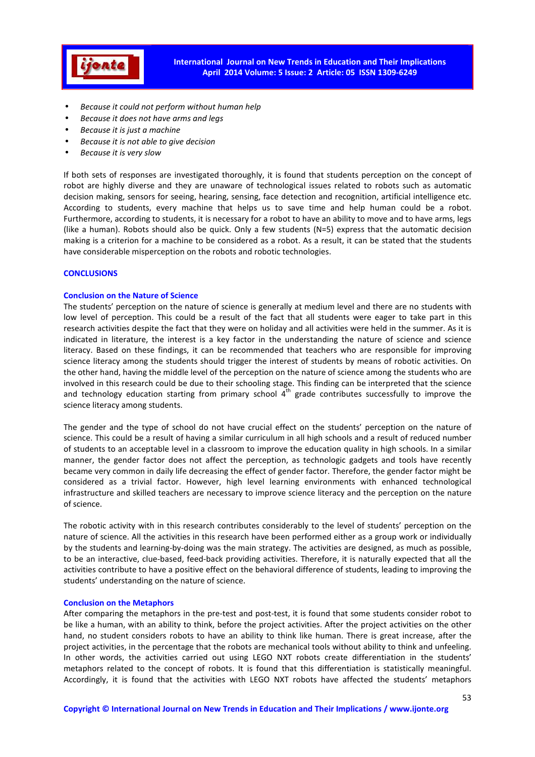

- *Because it could not perform without human help*
- *Because it does not have arms and legs*
- *Because it is just a machine*
- *Because it is not able to give decision*
- *Because it is very slow*

If both sets of responses are investigated thoroughly, it is found that students perception on the concept of robot are highly diverse and they are unaware of technological issues related to robots such as automatic decision making, sensors for seeing, hearing, sensing, face detection and recognition, artificial intelligence etc. According to students, every machine that helps us to save time and help human could be a robot. Furthermore, according to students, it is necessary for a robot to have an ability to move and to have arms, legs (like a human). Robots should also be quick. Only a few students (N=5) express that the automatic decision making is a criterion for a machine to be considered as a robot. As a result, it can be stated that the students have considerable misperception on the robots and robotic technologies.

# **CONCLUSIONS**

#### **Conclusion on the Nature of Science**

The students' perception on the nature of science is generally at medium level and there are no students with low level of perception. This could be a result of the fact that all students were eager to take part in this research activities despite the fact that they were on holiday and all activities were held in the summer. As it is indicated in literature, the interest is a key factor in the understanding the nature of science and science literacy. Based on these findings, it can be recommended that teachers who are responsible for improving science literacy among the students should trigger the interest of students by means of robotic activities. On the other hand, having the middle level of the perception on the nature of science among the students who are involved in this research could be due to their schooling stage. This finding can be interpreted that the science and technology education starting from primary school 4<sup>th</sup> grade contributes successfully to improve the science literacy among students.

The gender and the type of school do not have crucial effect on the students' perception on the nature of science. This could be a result of having a similar curriculum in all high schools and a result of reduced number of students to an acceptable level in a classroom to improve the education quality in high schools. In a similar manner, the gender factor does not affect the perception, as technologic gadgets and tools have recently became very common in daily life decreasing the effect of gender factor. Therefore, the gender factor might be considered as a trivial factor. However, high level learning environments with enhanced technological infrastructure and skilled teachers are necessary to improve science literacy and the perception on the nature of science.

The robotic activity with in this research contributes considerably to the level of students' perception on the nature of science. All the activities in this research have been performed either as a group work or individually by the students and learning-by-doing was the main strategy. The activities are designed, as much as possible, to be an interactive, clue-based, feed-back providing activities. Therefore, it is naturally expected that all the activities contribute to have a positive effect on the behavioral difference of students, leading to improving the students' understanding on the nature of science.

## **Conclusion on the Metaphors**

After comparing the metaphors in the pre-test and post-test, it is found that some students consider robot to be like a human, with an ability to think, before the project activities. After the project activities on the other hand, no student considers robots to have an ability to think like human. There is great increase, after the project activities, in the percentage that the robots are mechanical tools without ability to think and unfeeling. In other words, the activities carried out using LEGO NXT robots create differentiation in the students' metaphors related to the concept of robots. It is found that this differentiation is statistically meaningful. Accordingly, it is found that the activities with LEGO NXT robots have affected the students' metaphors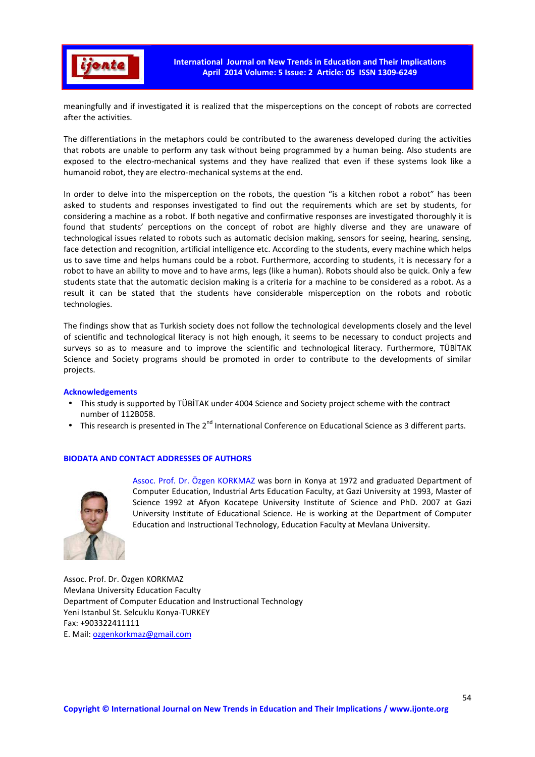

meaningfully and if investigated it is realized that the misperceptions on the concept of robots are corrected after the activities.

The differentiations in the metaphors could be contributed to the awareness developed during the activities that robots are unable to perform any task without being programmed by a human being. Also students are exposed to the electro-mechanical systems and they have realized that even if these systems look like a humanoid robot, they are electro-mechanical systems at the end.

In order to delve into the misperception on the robots, the question "is a kitchen robot a robot" has been asked to students and responses investigated to find out the requirements which are set by students, for considering a machine as a robot. If both negative and confirmative responses are investigated thoroughly it is found that students' perceptions on the concept of robot are highly diverse and they are unaware of technological issues related to robots such as automatic decision making, sensors for seeing, hearing, sensing, face detection and recognition, artificial intelligence etc. According to the students, every machine which helps us to save time and helps humans could be a robot. Furthermore, according to students, it is necessary for a robot to have an ability to move and to have arms, legs (like a human). Robots should also be quick. Only a few students state that the automatic decision making is a criteria for a machine to be considered as a robot. As a result it can be stated that the students have considerable misperception on the robots and robotic technologies.

The findings show that as Turkish society does not follow the technological developments closely and the level of scientific and technological literacy is not high enough, it seems to be necessary to conduct projects and surveys so as to measure and to improve the scientific and technological literacy. Furthermore, TÜBİTAK Science and Society programs should be promoted in order to contribute to the developments of similar projects.

## **Acknowledgements**

- This study is supported by TÜBİTAK under 4004 Science and Society project scheme with the contract number of 112B058.
- This research is presented in The 2<sup>nd</sup> International Conference on Educational Science as 3 different parts.

## **BIODATA AND CONTACT ADDRESSES OF AUTHORS**



Assoc. Prof. Dr. Özgen KORKMAZ was born in Konya at 1972 and graduated Department of Computer Education, Industrial Arts Education Faculty, at Gazi University at 1993, Master of Science 1992 at Afyon Kocatepe University Institute of Science and PhD. 2007 at Gazi University Institute of Educational Science. He is working at the Department of Computer Education and Instructional Technology, Education Faculty at Mevlana University.

Assoc. Prof. Dr. Özgen KORKMAZ Mevlana University Education Faculty Department of Computer Education and Instructional Technology Yeni Istanbul St. Selcuklu Konya-TURKEY Fax: +903322411111 E. Mail: ozgenkorkmaz@gmail.com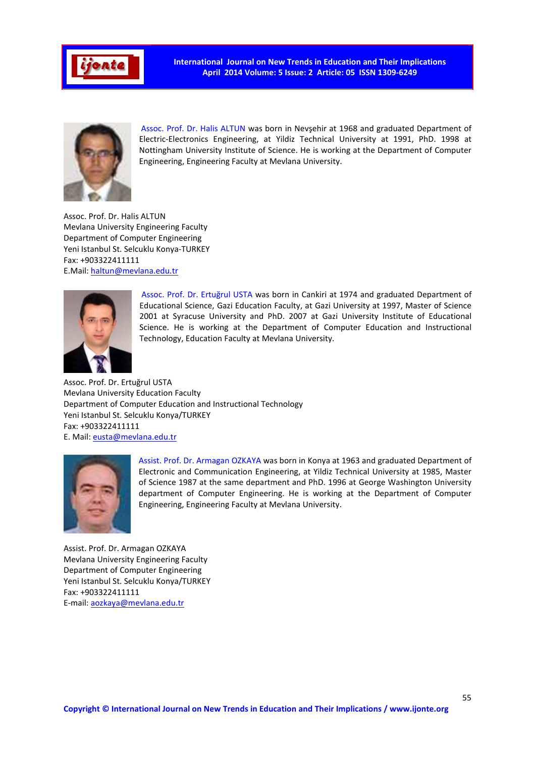

**International Journal on New Trends in Education and Their Implications April 2014 Volume: 5 Issue: 2 Article: 05 ISSN 1309-6249** 



Assoc. Prof. Dr. Halis ALTUN was born in Nevşehir at 1968 and graduated Department of Electric-Electronics Engineering, at Yildiz Technical University at 1991, PhD. 1998 at Nottingham University Institute of Science. He is working at the Department of Computer Engineering, Engineering Faculty at Mevlana University.

Assoc. Prof. Dr. Halis ALTUN Mevlana University Engineering Faculty Department of Computer Engineering Yeni Istanbul St. Selcuklu Konya-TURKEY Fax: +903322411111 E.Mail: haltun@mevlana.edu.tr



Assoc. Prof. Dr. Ertuğrul USTA was born in Cankiri at 1974 and graduated Department of Educational Science, Gazi Education Faculty, at Gazi University at 1997, Master of Science 2001 at Syracuse University and PhD. 2007 at Gazi University Institute of Educational Science. He is working at the Department of Computer Education and Instructional Technology, Education Faculty at Mevlana University.

Assoc. Prof. Dr. Ertuğrul USTA Mevlana University Education Faculty Department of Computer Education and Instructional Technology Yeni Istanbul St. Selcuklu Konya/TURKEY Fax: +903322411111 E. Mail: eusta@mevlana.edu.tr



Assist. Prof. Dr. Armagan OZKAYA was born in Konya at 1963 and graduated Department of Electronic and Communication Engineering, at Yildiz Technical University at 1985, Master of Science 1987 at the same department and PhD. 1996 at George Washington University department of Computer Engineering. He is working at the Department of Computer Engineering, Engineering Faculty at Mevlana University.

Assist. Prof. Dr. Armagan OZKAYA Mevlana University Engineering Faculty Department of Computer Engineering Yeni Istanbul St. Selcuklu Konya/TURKEY Fax: +903322411111 E-mail: aozkaya@mevlana.edu.tr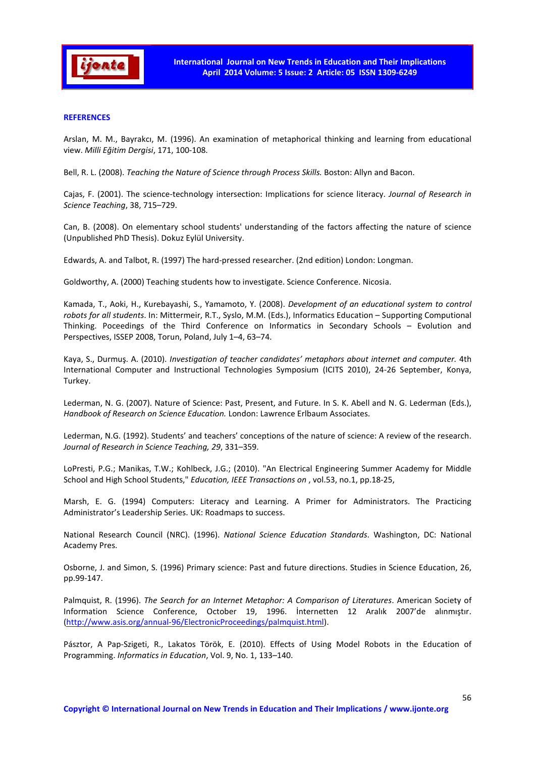

## **REFERENCES**

Arslan, M. M., Bayrakcı, M. (1996). An examination of metaphorical thinking and learning from educational view. *Milli Eğitim Dergisi*, 171, 100-108.

Bell, R. L. (2008). *Teaching the Nature of Science through Process Skills.* Boston: Allyn and Bacon.

Cajas, F. (2001). The science-technology intersection: Implications for science literacy. *Journal of Research in Science Teaching*, 38, 715–729.

Can, B. (2008). On elementary school students' understanding of the factors affecting the nature of science (Unpublished PhD Thesis). Dokuz Eylül University.

Edwards, A. and Talbot, R. (1997) The hard-pressed researcher. (2nd edition) London: Longman.

Goldworthy, A. (2000) Teaching students how to investigate. Science Conference. Nicosia.

Kamada, T., Aoki, H., Kurebayashi, S., Yamamoto, Y. (2008). *Development of an educational system to control robots for all students*. In: Mittermeir, R.T., Syslo, M.M. (Eds.), Informatics Education – Supporting Computional Thinking. Poceedings of the Third Conference on Informatics in Secondary Schools – Evolution and Perspectives, ISSEP 2008, Torun, Poland, July 1–4, 63–74.

Kaya, S., Durmuş. A. (2010). *Investigation of teacher candidates' metaphors about internet and computer.* 4th International Computer and Instructional Technologies Symposium (ICITS 2010), 24-26 September, Konya, Turkey.

Lederman, N. G. (2007). Nature of Science: Past, Present, and Future. In S. K. Abell and N. G. Lederman (Eds.), *Handbook of Research on Science Education.* London: Lawrence Erlbaum Associates.

Lederman, N.G. (1992). Students' and teachers' conceptions of the nature of science: A review of the research. *Journal of Research in Science Teaching, 29*, 331–359.

LoPresti, P.G.; Manikas, T.W.; Kohlbeck, J.G.; (2010). "An Electrical Engineering Summer Academy for Middle School and High School Students," *Education, IEEE Transactions on* , vol.53, no.1, pp.18-25,

Marsh, E. G. (1994) Computers: Literacy and Learning. A Primer for Administrators. The Practicing Administrator's Leadership Series. UK: Roadmaps to success.

National Research Council (NRC). (1996). *National Science Education Standards*. Washington, DC: National Academy Pres.

Osborne, J. and Simon, S. (1996) Primary science: Past and future directions. Studies in Science Education, 26, pp.99-147.

Palmquist, R. (1996). *The Search for an Internet Metaphor: A Comparison of Literatures*. American Society of Information Science Conference, October 19, 1996. İnternetten 12 Aralık 2007'de alınmıştır. (http://www.asis.org/annual-96/ElectronicProceedings/palmquist.html).

Pásztor, A Pap-Szigeti, R., Lakatos Török, E. (2010). Effects of Using Model Robots in the Education of Programming. *Informatics in Education*, Vol. 9, No. 1, 133–140.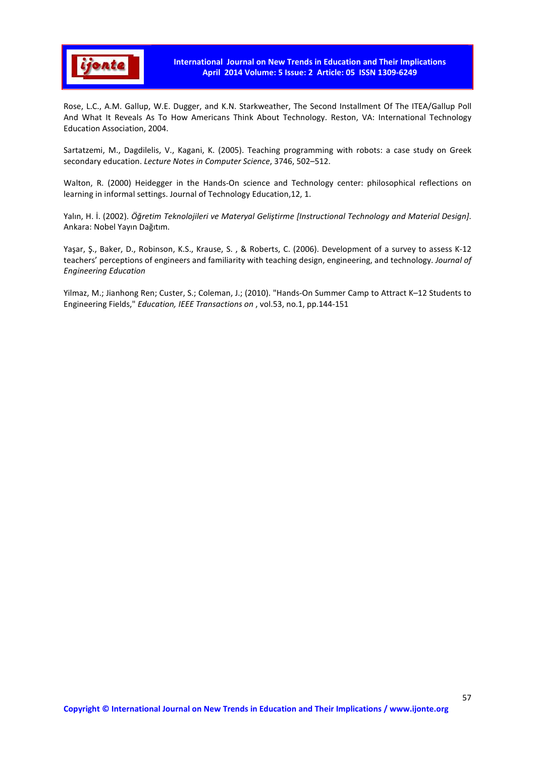

Rose, L.C., A.M. Gallup, W.E. Dugger, and K.N. Starkweather, The Second Installment Of The ITEA/Gallup Poll And What It Reveals As To How Americans Think About Technology. Reston, VA: International Technology Education Association, 2004.

Sartatzemi, M., Dagdilelis, V., Kagani, K. (2005). Teaching programming with robots: a case study on Greek secondary education. *Lecture Notes in Computer Science*, 3746, 502–512.

Walton, R. (2000) Heidegger in the Hands-On science and Technology center: philosophical reflections on learning in informal settings. Journal of Technology Education,12, 1.

Yalın, H. İ. (2002). *Öğretim Teknolojileri ve Materyal Geliştirme [Instructional Technology and Material Design]*. Ankara: Nobel Yayın Dağıtım.

Yaşar, Ş., Baker, D., Robinson, K.S., Krause, S. , & Roberts, C. (2006). Development of a survey to assess K-12 teachers' perceptions of engineers and familiarity with teaching design, engineering, and technology. *Journal of Engineering Education* 

Yilmaz, M.; Jianhong Ren; Custer, S.; Coleman, J.; (2010). "Hands-On Summer Camp to Attract K–12 Students to Engineering Fields," *Education, IEEE Transactions on* , vol.53, no.1, pp.144-151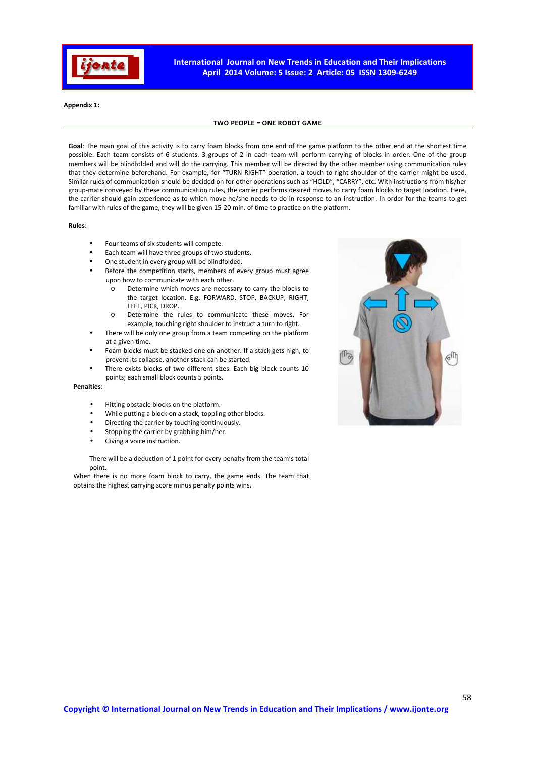

**Appendix 1:** 

#### **TWO PEOPLE = ONE ROBOT GAME**

**Goal**: The main goal of this activity is to carry foam blocks from one end of the game platform to the other end at the shortest time possible. Each team consists of 6 students. 3 groups of 2 in each team will perform carrying of blocks in order. One of the group members will be blindfolded and will do the carrying. This member will be directed by the other member using communication rules that they determine beforehand. For example, for "TURN RIGHT" operation, a touch to right shoulder of the carrier might be used. Similar rules of communication should be decided on for other operations such as "HOLD", "CARRY", etc. With instructions from his/her group-mate conveyed by these communication rules, the carrier performs desired moves to carry foam blocks to target location. Here, the carrier should gain experience as to which move he/she needs to do in response to an instruction. In order for the teams to get familiar with rules of the game, they will be given 15-20 min. of time to practice on the platform.

#### **Rules**:

- Four teams of six students will compete.
- Each team will have three groups of two students.
- One student in every group will be blindfolded.
- Before the competition starts, members of every group must agree upon how to communicate with each other.
	- o Determine which moves are necessary to carry the blocks to the target location. E.g. FORWARD, STOP, BACKUP, RIGHT, LEFT, PICK, DROP.
	- o Determine the rules to communicate these moves. For example, touching right shoulder to instruct a turn to right.
- There will be only one group from a team competing on the platform at a given time.
- Foam blocks must be stacked one on another. If a stack gets high, to prevent its collapse, another stack can be started.
- There exists blocks of two different sizes. Each big block counts 10 points; each small block counts 5 points.

#### **Penalties**:

- Hitting obstacle blocks on the platform.
- While putting a block on a stack, toppling other blocks.
- Directing the carrier by touching continuously.
- Stopping the carrier by grabbing him/her.
- Giving a voice instruction.

There will be a deduction of 1 point for every penalty from the team's total point.

When there is no more foam block to carry, the game ends. The team that obtains the highest carrying score minus penalty points wins.

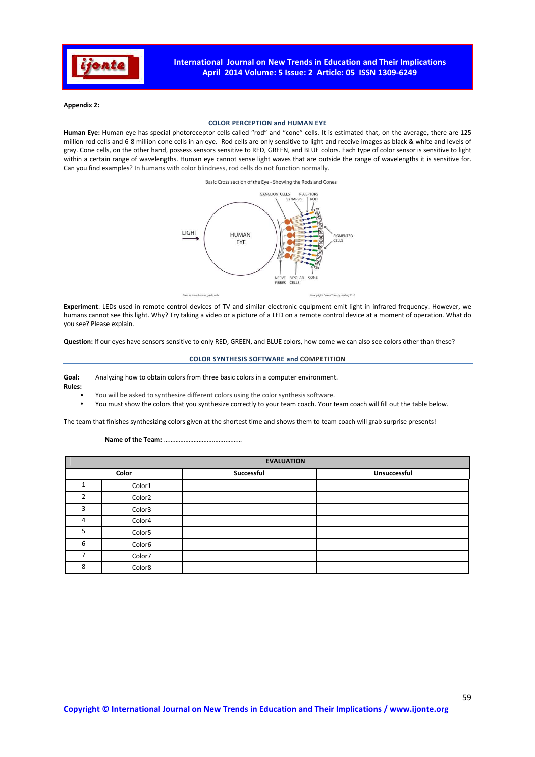

#### **Appendix 2:**

#### **COLOR PERCEPTION and HUMAN EYE**

**Human Eye:** Human eye has special photoreceptor cells called "rod" and "cone" cells. It is estimated that, on the average, there are 125 million rod cells and 6-8 million cone cells in an eye. Rod cells are only sensitive to light and receive images as black & white and levels of gray. Cone cells, on the other hand, possess sensors sensitive to RED, GREEN, and BLUE colors. Each type of color sensor is sensitive to light within a certain range of wavelengths. Human eye cannot sense light waves that are outside the range of wavelengths it is sensitive for. Can you find examples? In humans with color blindness, rod cells do not function normally.

Basic Cross section of the Eye - Showing the Rods and Cones



**Experiment**: LEDs used in remote control devices of TV and similar electronic equipment emit light in infrared frequency. However, we humans cannot see this light. Why? Try taking a video or a picture of a LED on a remote control device at a moment of operation. What do you see? Please explain.

**Question:** If our eyes have sensors sensitive to only RED, GREEN, and BLUE colors, how come we can also see colors other than these?

#### **COLOR SYNTHESIS SOFTWARE and COMPETITION**

# **Goal:** Analyzing how to obtain colors from three basic colors in a computer environment.

**Rules:** 

- You will be asked to synthesize different colors using the color synthesis software.
- You must show the colors that you synthesize correctly to your team coach. Your team coach will fill out the table below.

The team that finishes synthesizing colors given at the shortest time and shows them to team coach will grab surprise presents!

#### **Name of the Team:** ………………………………..………

|       | <b>EVALUATION</b>  |            |              |  |  |  |  |
|-------|--------------------|------------|--------------|--|--|--|--|
| Color |                    | Successful | Unsuccessful |  |  |  |  |
|       | Color1             |            |              |  |  |  |  |
| ำ     | Color <sub>2</sub> |            |              |  |  |  |  |
| 3     | Color3             |            |              |  |  |  |  |
| 4     | Color4             |            |              |  |  |  |  |
| 5     | Color5             |            |              |  |  |  |  |
| 6     | Color6             |            |              |  |  |  |  |
|       | Color7             |            |              |  |  |  |  |
| 8     | Color8             |            |              |  |  |  |  |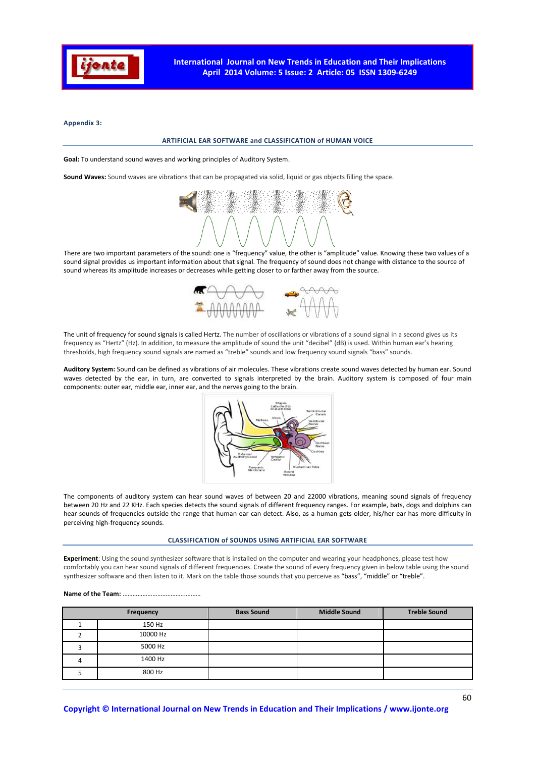

**Appendix 3:** 

#### **ARTIFICIAL EAR SOFTWARE and CLASSIFICATION of HUMAN VOICE**

**Goal:** To understand sound waves and working principles of Auditory System.

**Sound Waves:** Sound waves are vibrations that can be propagated via solid, liquid or gas objects filling the space.



There are two important parameters of the sound: one is "frequency" value, the other is "amplitude" value. Knowing these two values of a sound signal provides us important information about that signal. The frequency of sound does not change with distance to the source of sound whereas its amplitude increases or decreases while getting closer to or farther away from the source.



The unit of frequency for sound signals is called Hertz. The number of oscillations or vibrations of a sound signal in a second gives us its frequency as "Hertz" (Hz). In addition, to measure the amplitude of sound the unit "decibel" (dB) is used. Within human ear's hearing thresholds, high frequency sound signals are named as "treble" sounds and low frequency sound signals "bass" sounds.

**Auditory System:** Sound can be defined as vibrations of air molecules. These vibrations create sound waves detected by human ear. Sound waves detected by the ear, in turn, are converted to signals interpreted by the brain. Auditory system is composed of four main components: outer ear, middle ear, inner ear, and the nerves going to the brain.



The components of auditory system can hear sound waves of between 20 and 22000 vibrations, meaning sound signals of frequency between 20 Hz and 22 KHz. Each species detects the sound signals of different frequency ranges. For example, bats, dogs and dolphins can hear sounds of frequencies outside the range that human ear can detect. Also, as a human gets older, his/her ear has more difficulty in perceiving high-frequency sounds.

#### **CLASSIFICATION of SOUNDS USING ARTIFICIAL EAR SOFTWARE**

**Experiment**: Using the sound synthesizer software that is installed on the computer and wearing your headphones, please test how comfortably you can hear sound signals of different frequencies. Create the sound of every frequency given in below table using the sound synthesizer software and then listen to it. Mark on the table those sounds that you perceive as "bass", "middle" or "treble".

#### **Name of the Team:** ………………………………..………

| Frequency |          | <b>Bass Sound</b> | <b>Middle Sound</b> | <b>Treble Sound</b> |  |
|-----------|----------|-------------------|---------------------|---------------------|--|
|           | 150 Hz   |                   |                     |                     |  |
|           | 10000 Hz |                   |                     |                     |  |
|           | 5000 Hz  |                   |                     |                     |  |
|           | 1400 Hz  |                   |                     |                     |  |
|           | 800 Hz   |                   |                     |                     |  |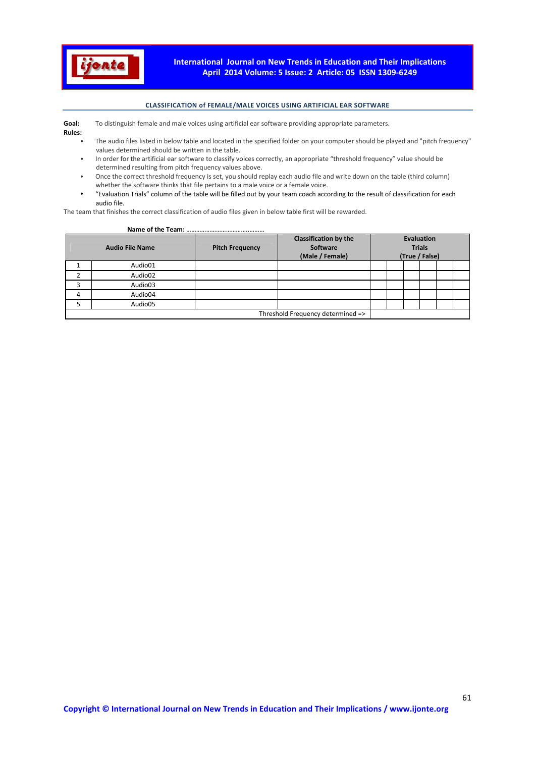

#### **CLASSIFICATION of FEMALE/MALE VOICES USING ARTIFICIAL EAR SOFTWARE**

Goal: To distinguish female and male voices using artificial ear software providing appropriate parameters.

**Rules:** 

- The audio files listed in below table and located in the specified folder on your computer should be played and "pitch frequency"
- values determined should be written in the table. • In order for the artificial ear software to classify voices correctly, an appropriate "threshold frequency" value should be determined resulting from pitch frequency values above.
- Once the correct threshold frequency is set, you should replay each audio file and write down on the table (third column) whether the software thinks that file pertains to a male voice or a female voice.
- "Evaluation Trials" column of the table will be filled out by your team coach according to the result of classification for each audio file.

The team that finishes the correct classification of audio files given in below table first will be rewarded.

#### **Name of the Team:** ………………………………..………

|   | <b>Audio File Name</b> | <b>Pitch Frequency</b> | <b>Classification by the</b><br>Software<br>(Male / Female) |  | <b>Evaluation</b><br><b>Trials</b><br>(True / False) |  |
|---|------------------------|------------------------|-------------------------------------------------------------|--|------------------------------------------------------|--|
|   | Audio01                |                        |                                                             |  |                                                      |  |
|   | Audio02                |                        |                                                             |  |                                                      |  |
| 3 | Audio03                |                        |                                                             |  |                                                      |  |
| 4 | Audio04                |                        |                                                             |  |                                                      |  |
|   | Audio05                |                        |                                                             |  |                                                      |  |
|   |                        |                        | Threshold Frequency determined =>                           |  |                                                      |  |